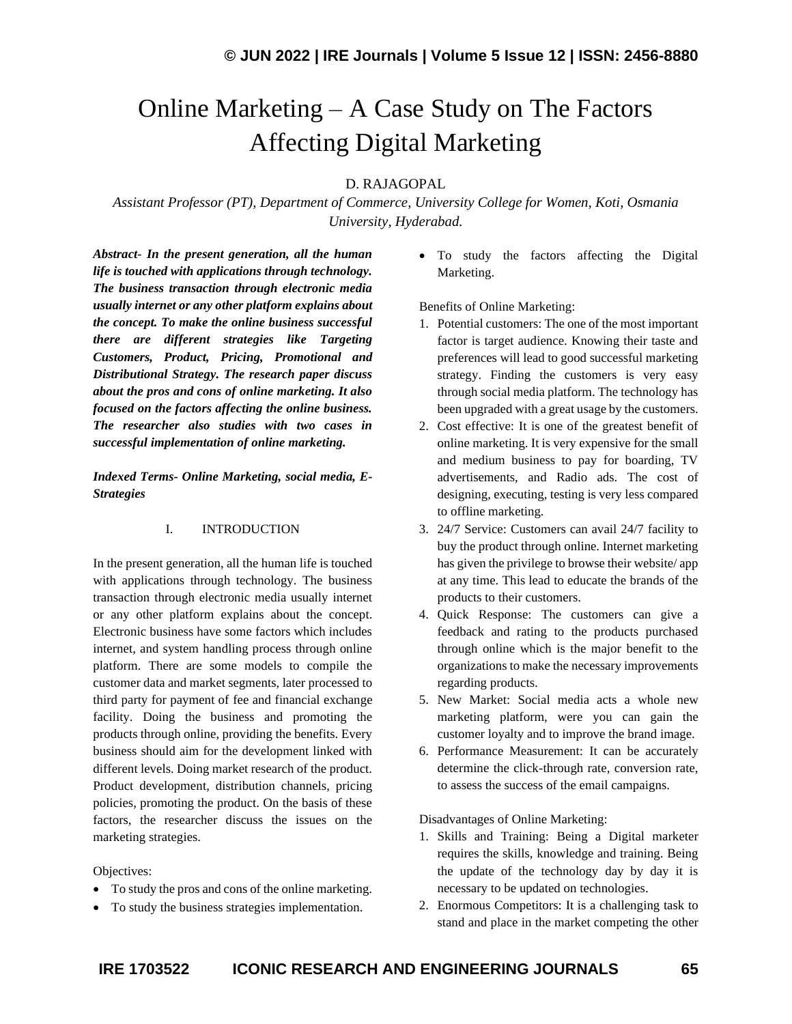# Online Marketing – A Case Study on The Factors Affecting Digital Marketing

## D. RAJAGOPAL

*Assistant Professor (PT), Department of Commerce, University College for Women, Koti, Osmania University, Hyderabad.*

*Abstract- In the present generation, all the human life is touched with applications through technology. The business transaction through electronic media usually internet or any other platform explains about the concept. To make the online business successful there are different strategies like Targeting Customers, Product, Pricing, Promotional and Distributional Strategy. The research paper discuss about the pros and cons of online marketing. It also focused on the factors affecting the online business. The researcher also studies with two cases in successful implementation of online marketing.*

*Indexed Terms- Online Marketing, social media, E-Strategies*

### I. INTRODUCTION

In the present generation, all the human life is touched with applications through technology. The business transaction through electronic media usually internet or any other platform explains about the concept. Electronic business have some factors which includes internet, and system handling process through online platform. There are some models to compile the customer data and market segments, later processed to third party for payment of fee and financial exchange facility. Doing the business and promoting the products through online, providing the benefits. Every business should aim for the development linked with different levels. Doing market research of the product. Product development, distribution channels, pricing policies, promoting the product. On the basis of these factors, the researcher discuss the issues on the marketing strategies.

Objectives:

- To study the pros and cons of the online marketing.
- To study the business strategies implementation.

• To study the factors affecting the Digital Marketing.

Benefits of Online Marketing:

- 1. Potential customers: The one of the most important factor is target audience. Knowing their taste and preferences will lead to good successful marketing strategy. Finding the customers is very easy through social media platform. The technology has been upgraded with a great usage by the customers.
- 2. Cost effective: It is one of the greatest benefit of online marketing. It is very expensive for the small and medium business to pay for boarding, TV advertisements, and Radio ads. The cost of designing, executing, testing is very less compared to offline marketing.
- 3. 24/7 Service: Customers can avail 24/7 facility to buy the product through online. Internet marketing has given the privilege to browse their website/ app at any time. This lead to educate the brands of the products to their customers.
- 4. Quick Response: The customers can give a feedback and rating to the products purchased through online which is the major benefit to the organizations to make the necessary improvements regarding products.
- 5. New Market: Social media acts a whole new marketing platform, were you can gain the customer loyalty and to improve the brand image.
- 6. Performance Measurement: It can be accurately determine the click-through rate, conversion rate, to assess the success of the email campaigns.

Disadvantages of Online Marketing:

- 1. Skills and Training: Being a Digital marketer requires the skills, knowledge and training. Being the update of the technology day by day it is necessary to be updated on technologies.
- 2. Enormous Competitors: It is a challenging task to stand and place in the market competing the other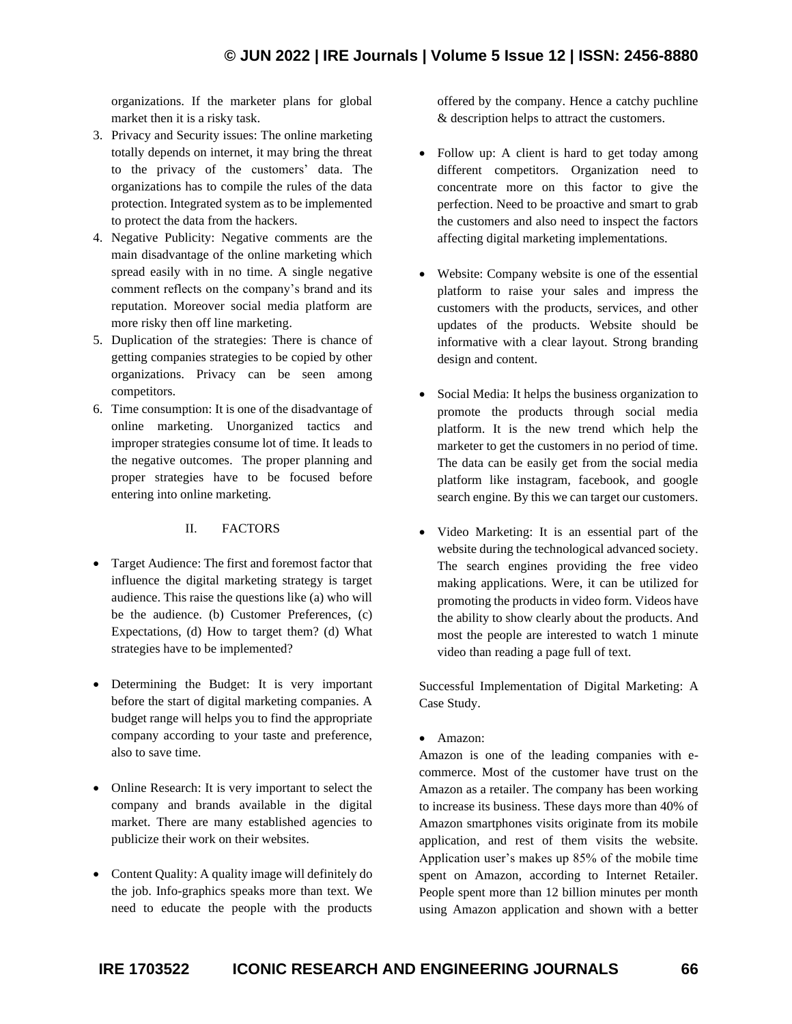organizations. If the marketer plans for global market then it is a risky task.

- 3. Privacy and Security issues: The online marketing totally depends on internet, it may bring the threat to the privacy of the customers' data. The organizations has to compile the rules of the data protection. Integrated system as to be implemented to protect the data from the hackers.
- 4. Negative Publicity: Negative comments are the main disadvantage of the online marketing which spread easily with in no time. A single negative comment reflects on the company's brand and its reputation. Moreover social media platform are more risky then off line marketing.
- 5. Duplication of the strategies: There is chance of getting companies strategies to be copied by other organizations. Privacy can be seen among competitors.
- 6. Time consumption: It is one of the disadvantage of online marketing. Unorganized tactics and improper strategies consume lot of time. It leads to the negative outcomes. The proper planning and proper strategies have to be focused before entering into online marketing.

## II. FACTORS

- Target Audience: The first and foremost factor that influence the digital marketing strategy is target audience. This raise the questions like (a) who will be the audience. (b) Customer Preferences, (c) Expectations, (d) How to target them? (d) What strategies have to be implemented?
- Determining the Budget: It is very important before the start of digital marketing companies. A budget range will helps you to find the appropriate company according to your taste and preference, also to save time.
- Online Research: It is very important to select the company and brands available in the digital market. There are many established agencies to publicize their work on their websites.
- Content Quality: A quality image will definitely do the job. Info-graphics speaks more than text. We need to educate the people with the products

offered by the company. Hence a catchy puchline & description helps to attract the customers.

- Follow up: A client is hard to get today among different competitors. Organization need to concentrate more on this factor to give the perfection. Need to be proactive and smart to grab the customers and also need to inspect the factors affecting digital marketing implementations.
- Website: Company website is one of the essential platform to raise your sales and impress the customers with the products, services, and other updates of the products. Website should be informative with a clear layout. Strong branding design and content.
- Social Media: It helps the business organization to promote the products through social media platform. It is the new trend which help the marketer to get the customers in no period of time. The data can be easily get from the social media platform like instagram, facebook, and google search engine. By this we can target our customers.
- Video Marketing: It is an essential part of the website during the technological advanced society. The search engines providing the free video making applications. Were, it can be utilized for promoting the products in video form. Videos have the ability to show clearly about the products. And most the people are interested to watch 1 minute video than reading a page full of text.

Successful Implementation of Digital Marketing: A Case Study.

• Amazon:

Amazon is one of the leading companies with ecommerce. Most of the customer have trust on the Amazon as a retailer. The company has been working to increase its business. These days more than 40% of Amazon smartphones visits originate from its mobile application, and rest of them visits the website. Application user's makes up 85% of the mobile time spent on Amazon, according to Internet Retailer. People spent more than 12 billion minutes per month using Amazon application and shown with a better